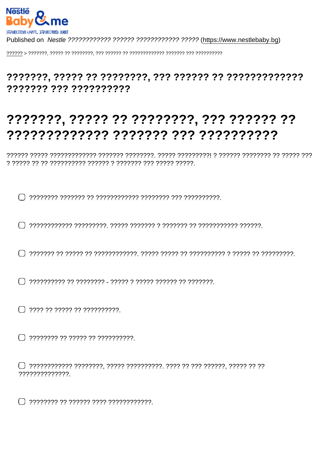7777777 777 7777777777

## ???????, ????? ?? ????????, ??? ?????? ??

??????????????